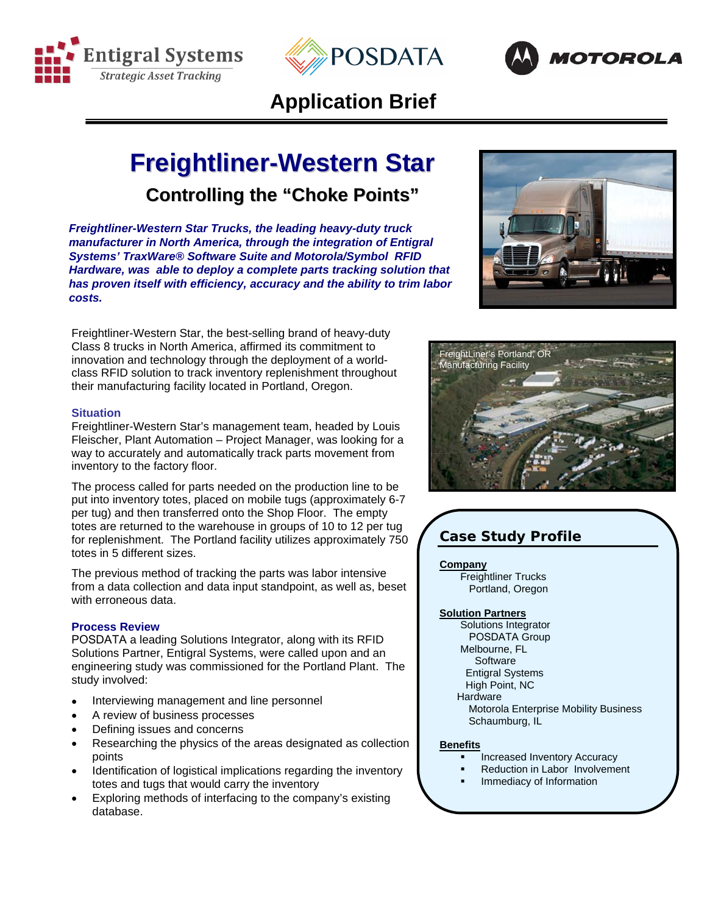





## **Application Brief**

# **Freightliner-Western Star Controlling the "Choke Points"**

*Freightliner-Western Star Trucks, the leading heavy-duty truck manufacturer in North America, through the integration of Entigral Systems' TraxWare® Software Suite and Motorola/Symbol RFID Hardware, was able to deploy a complete parts tracking solution that has proven itself with efficiency, accuracy and the ability to trim labor costs.* 

Freightliner-Western Star, the best-selling brand of heavy-duty Class 8 trucks in North America, affirmed its commitment to innovation and technology through the deployment of a worldclass RFID solution to track inventory replenishment throughout their manufacturing facility located in Portland, Oregon.

#### **Situation**

Freightliner-Western Star's management team, headed by Louis Fleischer, Plant Automation – Project Manager, was looking for a way to accurately and automatically track parts movement from inventory to the factory floor.

The process called for parts needed on the production line to be put into inventory totes, placed on mobile tugs (approximately 6-7 per tug) and then transferred onto the Shop Floor. The empty totes are returned to the warehouse in groups of 10 to 12 per tug for replenishment. The Portland facility utilizes approximately 750 totes in 5 different sizes.

The previous method of tracking the parts was labor intensive from a data collection and data input standpoint, as well as, beset with erroneous data.

#### **Process Review**

POSDATA a leading Solutions Integrator, along with its RFID Solutions Partner, Entigral Systems, were called upon and an engineering study was commissioned for the Portland Plant. The study involved:

- Interviewing management and line personnel
- A review of business processes
- Defining issues and concerns
- Researching the physics of the areas designated as collection points
- Identification of logistical implications regarding the inventory totes and tugs that would carry the inventory
- Exploring methods of interfacing to the company's existing database.





### **Case Study Profile**

#### **Company**

Freightliner Trucks Portland, Oregon

#### **Solution Partners**

Solutions Integrator POSDATA Group Melbourne, FL

**Software** Entigral Systems

High Point, NC

**Hardware** 

 Motorola Enterprise Mobility Business Schaumburg, IL

#### **Benefits**

- Increased Inventory Accuracy
- Reduction in Labor Involvement
- Immediacy of Information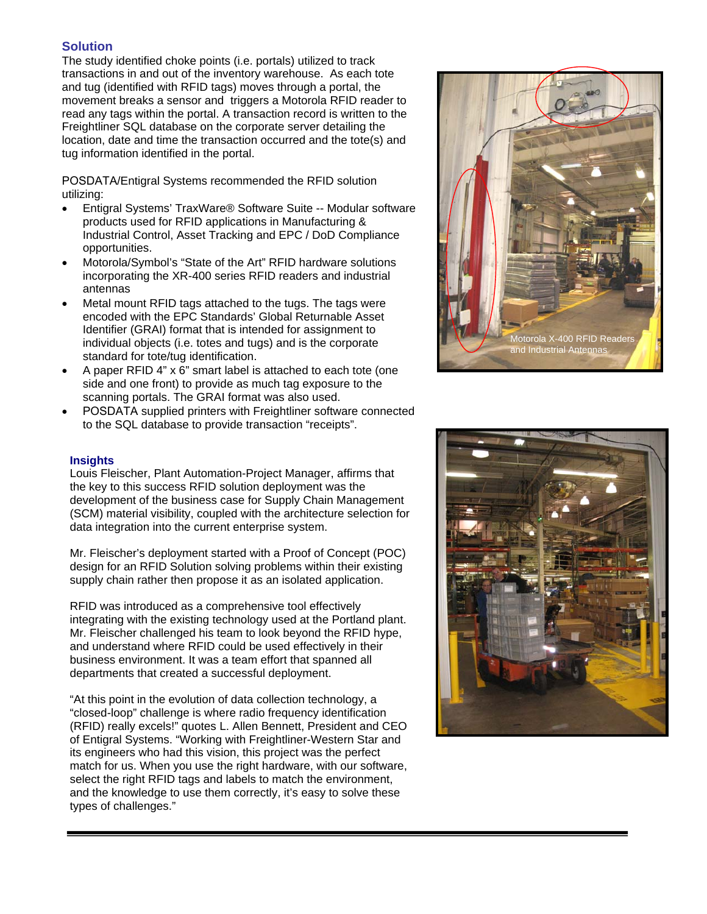#### **Solution**

The study identified choke points (i.e. portals) utilized to track transactions in and out of the inventory warehouse. As each tote and tug (identified with RFID tags) moves through a portal, the movement breaks a sensor and triggers a Motorola RFID reader to read any tags within the portal. A transaction record is written to the Freightliner SQL database on the corporate server detailing the location, date and time the transaction occurred and the tote(s) and tug information identified in the portal.

POSDATA/Entigral Systems recommended the RFID solution utilizing:

- Entigral Systems' TraxWare® Software Suite -- Modular software products used for RFID applications in Manufacturing & Industrial Control, Asset Tracking and EPC / DoD Compliance opportunities.
- Motorola/Symbol's "State of the Art" RFID hardware solutions incorporating the XR-400 series RFID readers and industrial antennas
- Metal mount RFID tags attached to the tugs. The tags were encoded with the EPC Standards' Global Returnable Asset Identifier (GRAI) format that is intended for assignment to individual objects (i.e. totes and tugs) and is the corporate standard for tote/tug identification.
- A paper RFID 4" x 6" smart label is attached to each tote (one side and one front) to provide as much tag exposure to the scanning portals. The GRAI format was also used.
- POSDATA supplied printers with Freightliner software connected to the SQL database to provide transaction "receipts".

#### **Insights**

Louis Fleischer, Plant Automation-Project Manager, affirms that the key to this success RFID solution deployment was the development of the business case for Supply Chain Management (SCM) material visibility, coupled with the architecture selection for data integration into the current enterprise system.

Mr. Fleischer's deployment started with a Proof of Concept (POC) design for an RFID Solution solving problems within their existing supply chain rather then propose it as an isolated application.

RFID was introduced as a comprehensive tool effectively integrating with the existing technology used at the Portland plant. Mr. Fleischer challenged his team to look beyond the RFID hype, and understand where RFID could be used effectively in their business environment. It was a team effort that spanned all departments that created a successful deployment.

"At this point in the evolution of data collection technology, a "closed-loop" challenge is where radio frequency identification (RFID) really excels!" quotes L. Allen Bennett, President and CEO of Entigral Systems. "Working with Freightliner-Western Star and its engineers who had this vision, this project was the perfect match for us. When you use the right hardware, with our software, select the right RFID tags and labels to match the environment, and the knowledge to use them correctly, it's easy to solve these types of challenges."